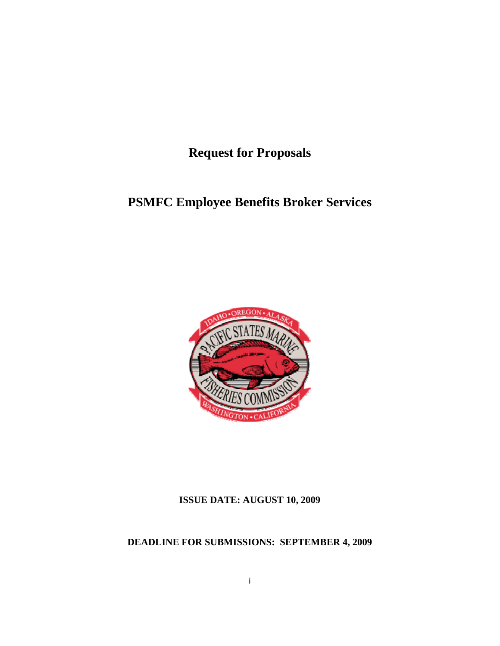**Request for Proposals** 

# **PSMFC Employee Benefits Broker Services**



## **ISSUE DATE: AUGUST 10, 2009**

## **DEADLINE FOR SUBMISSIONS: SEPTEMBER 4, 2009**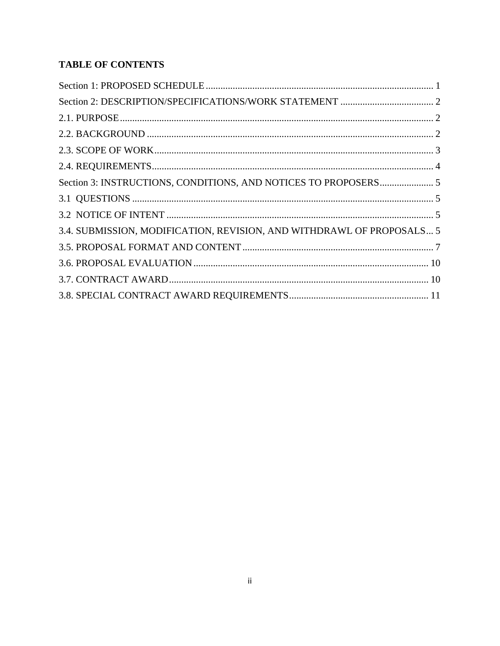## **TABLE OF CONTENTS**

| 3.4. SUBMISSION, MODIFICATION, REVISION, AND WITHDRAWL OF PROPOSALS 5 |  |
|-----------------------------------------------------------------------|--|
|                                                                       |  |
|                                                                       |  |
|                                                                       |  |
|                                                                       |  |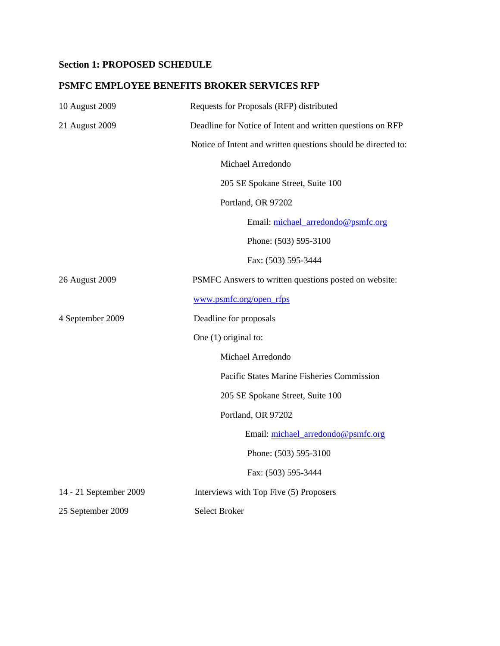## <span id="page-2-0"></span>**Section 1: PROPOSED SCHEDULE**

### **PSMFC EMPLOYEE BENEFITS BROKER SERVICES RFP**

| 10 August 2009         | Requests for Proposals (RFP) distributed                      |
|------------------------|---------------------------------------------------------------|
| 21 August 2009         | Deadline for Notice of Intent and written questions on RFP    |
|                        | Notice of Intent and written questions should be directed to: |
|                        | Michael Arredondo                                             |
|                        | 205 SE Spokane Street, Suite 100                              |
|                        | Portland, OR 97202                                            |
|                        | Email: michael_arredondo@psmfc.org                            |
|                        | Phone: (503) 595-3100                                         |
|                        | Fax: (503) 595-3444                                           |
| 26 August 2009         | PSMFC Answers to written questions posted on website:         |
|                        | www.psmfc.org/open_rfps                                       |
| 4 September 2009       | Deadline for proposals                                        |
|                        | One $(1)$ original to:                                        |
|                        | Michael Arredondo                                             |
|                        | Pacific States Marine Fisheries Commission                    |
|                        | 205 SE Spokane Street, Suite 100                              |
|                        | Portland, OR 97202                                            |
|                        | Email: michael_arredondo@psmfc.org                            |
|                        | Phone: (503) 595-3100                                         |
|                        | Fax: (503) 595-3444                                           |
| 14 - 21 September 2009 | Interviews with Top Five (5) Proposers                        |
| 25 September 2009      | <b>Select Broker</b>                                          |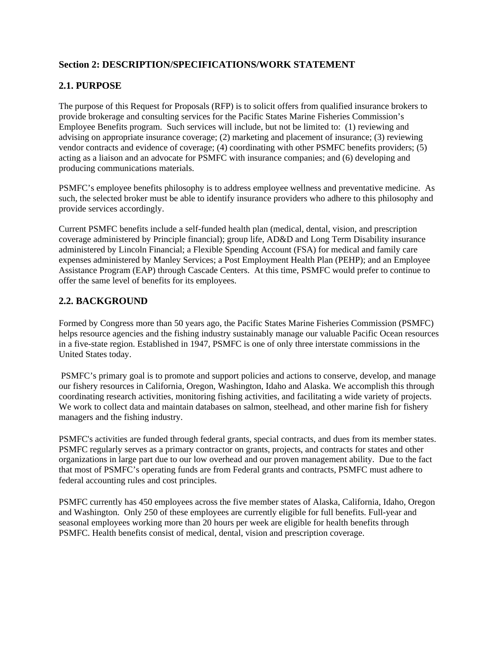## <span id="page-3-0"></span>**Section 2: DESCRIPTION/SPECIFICATIONS/WORK STATEMENT**

## **2.1. PURPOSE**

The purpose of this Request for Proposals (RFP) is to solicit offers from qualified insurance brokers to provide brokerage and consulting services for the Pacific States Marine Fisheries Commission's Employee Benefits program. Such services will include, but not be limited to: (1) reviewing and advising on appropriate insurance coverage; (2) marketing and placement of insurance; (3) reviewing vendor contracts and evidence of coverage; (4) coordinating with other PSMFC benefits providers; (5) acting as a liaison and an advocate for PSMFC with insurance companies; and (6) developing and producing communications materials.

PSMFC's employee benefits philosophy is to address employee wellness and preventative medicine. As such, the selected broker must be able to identify insurance providers who adhere to this philosophy and provide services accordingly.

Current PSMFC benefits include a self-funded health plan (medical, dental, vision, and prescription coverage administered by Principle financial); group life, AD&D and Long Term Disability insurance administered by Lincoln Financial; a Flexible Spending Account (FSA) for medical and family care expenses administered by Manley Services; a Post Employment Health Plan (PEHP); and an Employee Assistance Program (EAP) through Cascade Centers. At this time, PSMFC would prefer to continue to offer the same level of benefits for its employees.

### **2.2. BACKGROUND**

Formed by Congress more than 50 years ago, the Pacific States Marine Fisheries Commission (PSMFC) helps resource agencies and the fishing industry sustainably manage our valuable Pacific Ocean resources in a five-state region. Established in 1947, PSMFC is one of only three interstate commissions in the United States today.

 PSMFC's primary goal is to promote and support policies and actions to conserve, develop, and manage our fishery resources in California, Oregon, Washington, Idaho and Alaska. We accomplish this through coordinating research activities, monitoring fishing activities, and facilitating a wide variety of projects. We work to collect data and maintain databases on salmon, steelhead, and other marine fish for fishery managers and the fishing industry.

PSMFC's activities are funded through federal grants, special contracts, and dues from its member states. PSMFC regularly serves as a primary contractor on grants, projects, and contracts for states and other organizations in large part due to our low overhead and our proven management ability. Due to the fact that most of PSMFC's operating funds are from Federal grants and contracts, PSMFC must adhere to federal accounting rules and cost principles.

PSMFC currently has 450 employees across the five member states of Alaska, California, Idaho, Oregon and Washington. Only 250 of these employees are currently eligible for full benefits. Full-year and seasonal employees working more than 20 hours per week are eligible for health benefits through PSMFC. Health benefits consist of medical, dental, vision and prescription coverage.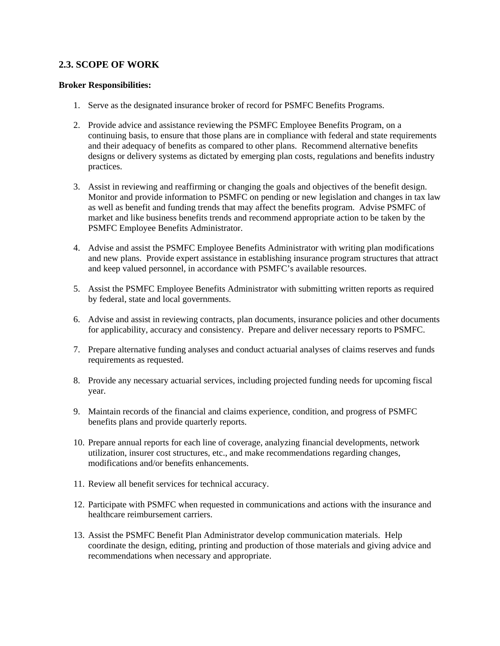#### <span id="page-4-0"></span>**2.3. SCOPE OF WORK**

#### **Broker Responsibilities:**

- 1. Serve as the designated insurance broker of record for PSMFC Benefits Programs.
- 2. Provide advice and assistance reviewing the PSMFC Employee Benefits Program, on a continuing basis, to ensure that those plans are in compliance with federal and state requirements and their adequacy of benefits as compared to other plans. Recommend alternative benefits designs or delivery systems as dictated by emerging plan costs, regulations and benefits industry practices.
- 3. Assist in reviewing and reaffirming or changing the goals and objectives of the benefit design. Monitor and provide information to PSMFC on pending or new legislation and changes in tax law as well as benefit and funding trends that may affect the benefits program. Advise PSMFC of market and like business benefits trends and recommend appropriate action to be taken by the PSMFC Employee Benefits Administrator.
- 4. Advise and assist the PSMFC Employee Benefits Administrator with writing plan modifications and new plans. Provide expert assistance in establishing insurance program structures that attract and keep valued personnel, in accordance with PSMFC's available resources.
- 5. Assist the PSMFC Employee Benefits Administrator with submitting written reports as required by federal, state and local governments.
- 6. Advise and assist in reviewing contracts, plan documents, insurance policies and other documents for applicability, accuracy and consistency. Prepare and deliver necessary reports to PSMFC.
- 7. Prepare alternative funding analyses and conduct actuarial analyses of claims reserves and funds requirements as requested.
- 8. Provide any necessary actuarial services, including projected funding needs for upcoming fiscal year.
- 9. Maintain records of the financial and claims experience, condition, and progress of PSMFC benefits plans and provide quarterly reports.
- 10. Prepare annual reports for each line of coverage, analyzing financial developments, network utilization, insurer cost structures, etc., and make recommendations regarding changes, modifications and/or benefits enhancements.
- 11. Review all benefit services for technical accuracy.
- 12. Participate with PSMFC when requested in communications and actions with the insurance and healthcare reimbursement carriers.
- 13. Assist the PSMFC Benefit Plan Administrator develop communication materials. Help coordinate the design, editing, printing and production of those materials and giving advice and recommendations when necessary and appropriate.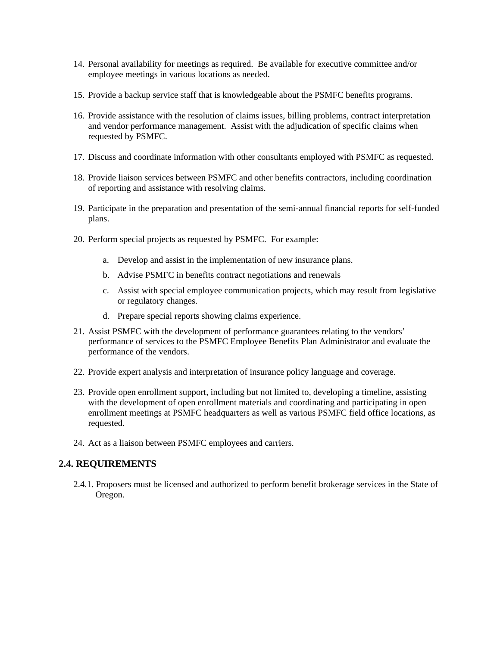- <span id="page-5-0"></span>14. Personal availability for meetings as required. Be available for executive committee and/or employee meetings in various locations as needed.
- 15. Provide a backup service staff that is knowledgeable about the PSMFC benefits programs.
- 16. Provide assistance with the resolution of claims issues, billing problems, contract interpretation and vendor performance management. Assist with the adjudication of specific claims when requested by PSMFC.
- 17. Discuss and coordinate information with other consultants employed with PSMFC as requested.
- 18. Provide liaison services between PSMFC and other benefits contractors, including coordination of reporting and assistance with resolving claims.
- 19. Participate in the preparation and presentation of the semi-annual financial reports for self-funded plans.
- 20. Perform special projects as requested by PSMFC. For example:
	- a. Develop and assist in the implementation of new insurance plans.
	- b. Advise PSMFC in benefits contract negotiations and renewals
	- c. Assist with special employee communication projects, which may result from legislative or regulatory changes.
	- d. Prepare special reports showing claims experience.
- 21. Assist PSMFC with the development of performance guarantees relating to the vendors' performance of services to the PSMFC Employee Benefits Plan Administrator and evaluate the performance of the vendors.
- 22. Provide expert analysis and interpretation of insurance policy language and coverage.
- 23. Provide open enrollment support, including but not limited to, developing a timeline, assisting with the development of open enrollment materials and coordinating and participating in open enrollment meetings at PSMFC headquarters as well as various PSMFC field office locations, as requested.
- 24. Act as a liaison between PSMFC employees and carriers.

#### **2.4. REQUIREMENTS**

2.4.1. Proposers must be licensed and authorized to perform benefit brokerage services in the State of Oregon.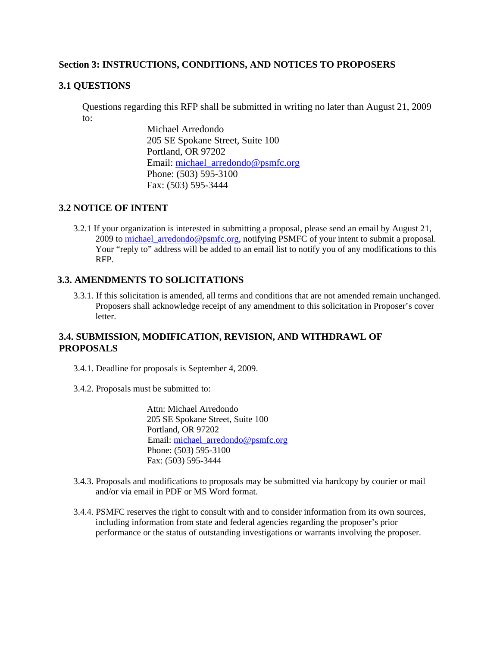#### <span id="page-6-0"></span>**Section 3: INSTRUCTIONS, CONDITIONS, AND NOTICES TO PROPOSERS**

#### **3.1 QUESTIONS**

Questions regarding this RFP shall be submitted in writing no later than August 21, 2009 to:

> Michael Arredondo 205 SE Spokane Street, Suite 100 Portland, OR 97202 Email: [michael\\_arredondo@psmfc.org](mailto:michael_arredondo@psmfc.org) Phone: (503) 595-3100 Fax: (503) 595-3444

#### **3.2 NOTICE OF INTENT**

3.2.1 If your organization is interested in submitting a proposal, please send an email by August 21, 2009 to michael arredondo@psmfc.org, notifying PSMFC of your intent to submit a proposal. Your "reply to" address will be added to an email list to notify you of any modifications to this RFP.

#### **3.3. AMENDMENTS TO SOLICITATIONS**

3.3.1. If this solicitation is amended, all terms and conditions that are not amended remain unchanged. Proposers shall acknowledge receipt of any amendment to this solicitation in Proposer's cover letter.

### **3.4. SUBMISSION, MODIFICATION, REVISION, AND WITHDRAWL OF PROPOSALS**

3.4.1. Deadline for proposals is September 4, 2009.

3.4.2. Proposals must be submitted to:

 Attn: Michael Arredondo 205 SE Spokane Street, Suite 100 Portland, OR 97202 Email: [michael\\_arredondo@psmfc.org](mailto:michael_arredondo@psmfc.org) Phone: (503) 595-3100 Fax: (503) 595-3444

- 3.4.3. Proposals and modifications to proposals may be submitted via hardcopy by courier or mail and/or via email in PDF or MS Word format.
- 3.4.4. PSMFC reserves the right to consult with and to consider information from its own sources, including information from state and federal agencies regarding the proposer's prior performance or the status of outstanding investigations or warrants involving the proposer.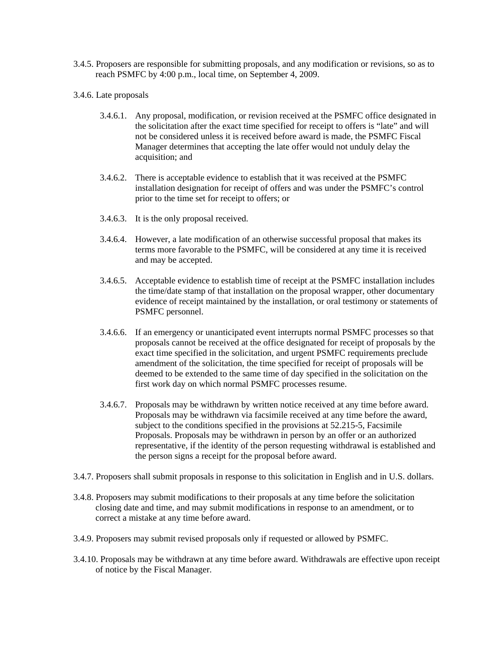- 3.4.5. Proposers are responsible for submitting proposals, and any modification or revisions, so as to reach PSMFC by 4:00 p.m., local time, on September 4, 2009.
- 3.4.6. Late proposals
	- 3.4.6.1. Any proposal, modification, or revision received at the PSMFC office designated in the solicitation after the exact time specified for receipt to offers is "late" and will not be considered unless it is received before award is made, the PSMFC Fiscal Manager determines that accepting the late offer would not unduly delay the acquisition; and
	- 3.4.6.2. There is acceptable evidence to establish that it was received at the PSMFC installation designation for receipt of offers and was under the PSMFC's control prior to the time set for receipt to offers; or
	- 3.4.6.3. It is the only proposal received.
	- 3.4.6.4. However, a late modification of an otherwise successful proposal that makes its terms more favorable to the PSMFC, will be considered at any time it is received and may be accepted.
	- 3.4.6.5. Acceptable evidence to establish time of receipt at the PSMFC installation includes the time/date stamp of that installation on the proposal wrapper, other documentary evidence of receipt maintained by the installation, or oral testimony or statements of PSMFC personnel.
	- 3.4.6.6. If an emergency or unanticipated event interrupts normal PSMFC processes so that proposals cannot be received at the office designated for receipt of proposals by the exact time specified in the solicitation, and urgent PSMFC requirements preclude amendment of the solicitation, the time specified for receipt of proposals will be deemed to be extended to the same time of day specified in the solicitation on the first work day on which normal PSMFC processes resume.
	- 3.4.6.7. Proposals may be withdrawn by written notice received at any time before award. Proposals may be withdrawn via facsimile received at any time before the award, subject to the conditions specified in the provisions at 52.215-5, Facsimile Proposals. Proposals may be withdrawn in person by an offer or an authorized representative, if the identity of the person requesting withdrawal is established and the person signs a receipt for the proposal before award.
- 3.4.7. Proposers shall submit proposals in response to this solicitation in English and in U.S. dollars.
- 3.4.8. Proposers may submit modifications to their proposals at any time before the solicitation closing date and time, and may submit modifications in response to an amendment, or to correct a mistake at any time before award.
- 3.4.9. Proposers may submit revised proposals only if requested or allowed by PSMFC.
- 3.4.10. Proposals may be withdrawn at any time before award. Withdrawals are effective upon receipt of notice by the Fiscal Manager.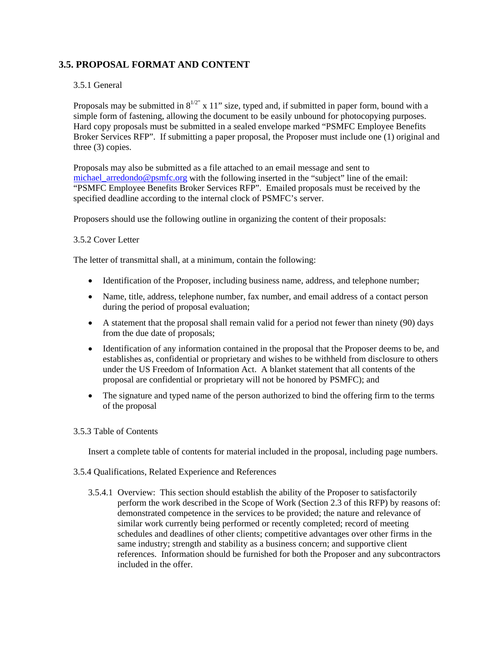## <span id="page-8-0"></span>**3.5. PROPOSAL FORMAT AND CONTENT**

#### 3.5.1 General

Proposals may be submitted in  $8^{1/2}$ " x 11" size, typed and, if submitted in paper form, bound with a simple form of fastening, allowing the document to be easily unbound for photocopying purposes. Hard copy proposals must be submitted in a sealed envelope marked "PSMFC Employee Benefits Broker Services RFP". If submitting a paper proposal, the Proposer must include one (1) original and three (3) copies.

Proposals may also be submitted as a file attached to an email message and sent to [michael\\_arredondo@psmfc.org](mailto:michael_arredondo@psmfc.org) with the following inserted in the "subject" line of the email: "PSMFC Employee Benefits Broker Services RFP". Emailed proposals must be received by the specified deadline according to the internal clock of PSMFC's server.

Proposers should use the following outline in organizing the content of their proposals:

#### 3.5.2 Cover Letter

The letter of transmittal shall, at a minimum, contain the following:

- Identification of the Proposer, including business name, address, and telephone number;
- Name, title, address, telephone number, fax number, and email address of a contact person during the period of proposal evaluation;
- A statement that the proposal shall remain valid for a period not fewer than ninety (90) days from the due date of proposals;
- Identification of any information contained in the proposal that the Proposer deems to be, and establishes as, confidential or proprietary and wishes to be withheld from disclosure to others under the US Freedom of Information Act. A blanket statement that all contents of the proposal are confidential or proprietary will not be honored by PSMFC); and
- The signature and typed name of the person authorized to bind the offering firm to the terms of the proposal

#### 3.5.3 Table of Contents

Insert a complete table of contents for material included in the proposal, including page numbers.

- 3.5.4 Qualifications, Related Experience and References
	- 3.5.4.1 Overview: This section should establish the ability of the Proposer to satisfactorily perform the work described in the Scope of Work (Section 2.3 of this RFP) by reasons of: demonstrated competence in the services to be provided; the nature and relevance of similar work currently being performed or recently completed; record of meeting schedules and deadlines of other clients; competitive advantages over other firms in the same industry; strength and stability as a business concern; and supportive client references. Information should be furnished for both the Proposer and any subcontractors included in the offer.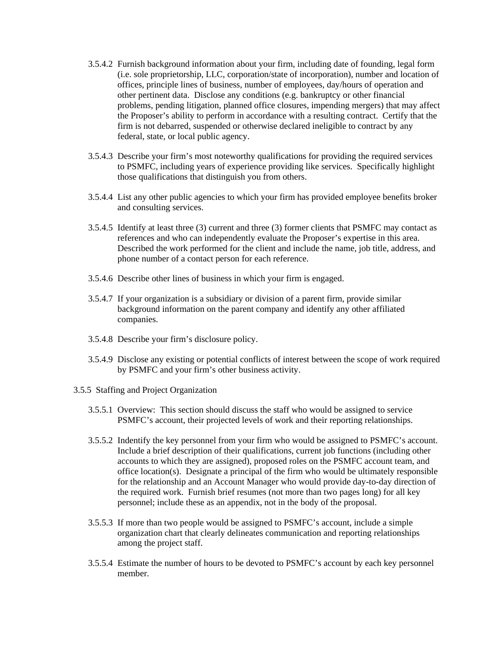- 3.5.4.2 Furnish background information about your firm, including date of founding, legal form (i.e. sole proprietorship, LLC, corporation/state of incorporation), number and location of offices, principle lines of business, number of employees, day/hours of operation and other pertinent data. Disclose any conditions (e.g. bankruptcy or other financial problems, pending litigation, planned office closures, impending mergers) that may affect the Proposer's ability to perform in accordance with a resulting contract. Certify that the firm is not debarred, suspended or otherwise declared ineligible to contract by any federal, state, or local public agency.
- 3.5.4.3 Describe your firm's most noteworthy qualifications for providing the required services to PSMFC, including years of experience providing like services. Specifically highlight those qualifications that distinguish you from others.
- 3.5.4.4 List any other public agencies to which your firm has provided employee benefits broker and consulting services.
- 3.5.4.5 Identify at least three (3) current and three (3) former clients that PSMFC may contact as references and who can independently evaluate the Proposer's expertise in this area. Described the work performed for the client and include the name, job title, address, and phone number of a contact person for each reference.
- 3.5.4.6 Describe other lines of business in which your firm is engaged.
- 3.5.4.7 If your organization is a subsidiary or division of a parent firm, provide similar background information on the parent company and identify any other affiliated companies.
- 3.5.4.8 Describe your firm's disclosure policy.
- 3.5.4.9 Disclose any existing or potential conflicts of interest between the scope of work required by PSMFC and your firm's other business activity.
- 3.5.5 Staffing and Project Organization
	- 3.5.5.1 Overview: This section should discuss the staff who would be assigned to service PSMFC's account, their projected levels of work and their reporting relationships.
	- 3.5.5.2 Indentify the key personnel from your firm who would be assigned to PSMFC's account. Include a brief description of their qualifications, current job functions (including other accounts to which they are assigned), proposed roles on the PSMFC account team, and office location(s). Designate a principal of the firm who would be ultimately responsible for the relationship and an Account Manager who would provide day-to-day direction of the required work. Furnish brief resumes (not more than two pages long) for all key personnel; include these as an appendix, not in the body of the proposal.
	- 3.5.5.3 If more than two people would be assigned to PSMFC's account, include a simple organization chart that clearly delineates communication and reporting relationships among the project staff.
	- 3.5.5.4 Estimate the number of hours to be devoted to PSMFC's account by each key personnel member.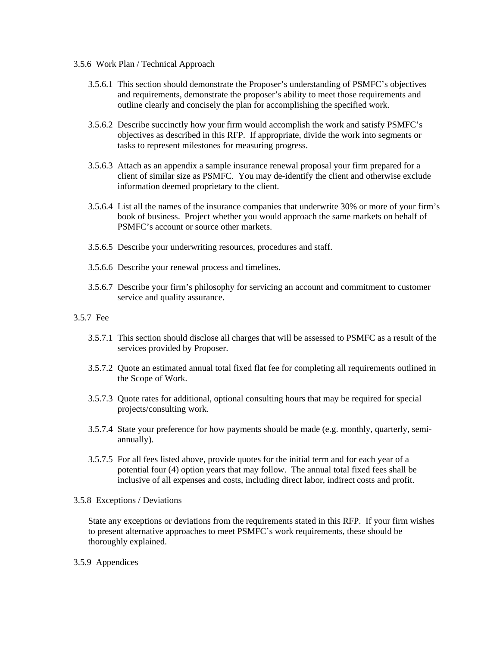- 3.5.6 Work Plan / Technical Approach
	- 3.5.6.1 This section should demonstrate the Proposer's understanding of PSMFC's objectives and requirements, demonstrate the proposer's ability to meet those requirements and outline clearly and concisely the plan for accomplishing the specified work.
	- 3.5.6.2 Describe succinctly how your firm would accomplish the work and satisfy PSMFC's objectives as described in this RFP. If appropriate, divide the work into segments or tasks to represent milestones for measuring progress.
	- 3.5.6.3 Attach as an appendix a sample insurance renewal proposal your firm prepared for a client of similar size as PSMFC. You may de-identify the client and otherwise exclude information deemed proprietary to the client.
	- 3.5.6.4 List all the names of the insurance companies that underwrite 30% or more of your firm's book of business. Project whether you would approach the same markets on behalf of PSMFC's account or source other markets.
	- 3.5.6.5 Describe your underwriting resources, procedures and staff.
	- 3.5.6.6 Describe your renewal process and timelines.
	- 3.5.6.7 Describe your firm's philosophy for servicing an account and commitment to customer service and quality assurance.

#### 3.5.7 Fee

- 3.5.7.1 This section should disclose all charges that will be assessed to PSMFC as a result of the services provided by Proposer.
- 3.5.7.2 Quote an estimated annual total fixed flat fee for completing all requirements outlined in the Scope of Work.
- 3.5.7.3 Quote rates for additional, optional consulting hours that may be required for special projects/consulting work.
- 3.5.7.4 State your preference for how payments should be made (e.g. monthly, quarterly, semiannually).
- 3.5.7.5 For all fees listed above, provide quotes for the initial term and for each year of a potential four (4) option years that may follow. The annual total fixed fees shall be inclusive of all expenses and costs, including direct labor, indirect costs and profit.

#### 3.5.8 Exceptions / Deviations

State any exceptions or deviations from the requirements stated in this RFP. If your firm wishes to present alternative approaches to meet PSMFC's work requirements, these should be thoroughly explained.

3.5.9 Appendices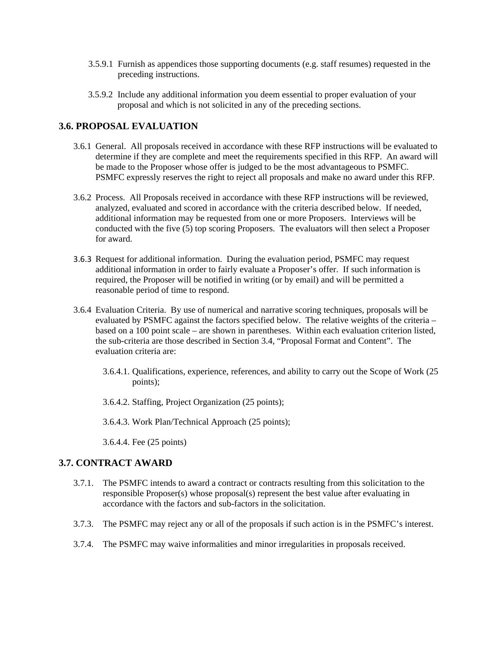- <span id="page-11-0"></span>3.5.9.1 Furnish as appendices those supporting documents (e.g. staff resumes) requested in the preceding instructions.
- 3.5.9.2 Include any additional information you deem essential to proper evaluation of your proposal and which is not solicited in any of the preceding sections.

#### **3.6. PROPOSAL EVALUATION**

- 3.6.1 General. All proposals received in accordance with these RFP instructions will be evaluated to determine if they are complete and meet the requirements specified in this RFP. An award will be made to the Proposer whose offer is judged to be the most advantageous to PSMFC. PSMFC expressly reserves the right to reject all proposals and make no award under this RFP.
- 3.6.2 Process. All Proposals received in accordance with these RFP instructions will be reviewed, analyzed, evaluated and scored in accordance with the criteria described below. If needed, additional information may be requested from one or more Proposers. Interviews will be conducted with the five (5) top scoring Proposers. The evaluators will then select a Proposer for award.
- 3.6.3 Request for additional information. During the evaluation period, PSMFC may request additional information in order to fairly evaluate a Proposer's offer. If such information is required, the Proposer will be notified in writing (or by email) and will be permitted a reasonable period of time to respond.
- 3.6.4 Evaluation Criteria. By use of numerical and narrative scoring techniques, proposals will be evaluated by PSMFC against the factors specified below. The relative weights of the criteria – based on a 100 point scale – are shown in parentheses. Within each evaluation criterion listed, the sub-criteria are those described in Section 3.4, "Proposal Format and Content". The evaluation criteria are:
	- 3.6.4.1. Qualifications, experience, references, and ability to carry out the Scope of Work (25 points);
	- 3.6.4.2. Staffing, Project Organization (25 points);
	- 3.6.4.3. Work Plan/Technical Approach (25 points);

3.6.4.4. Fee (25 points)

#### **3.7. CONTRACT AWARD**

- 3.7.1. The PSMFC intends to award a contract or contracts resulting from this solicitation to the responsible Proposer(s) whose proposal(s) represent the best value after evaluating in accordance with the factors and sub-factors in the solicitation.
- 3.7.3. The PSMFC may reject any or all of the proposals if such action is in the PSMFC's interest.
- 3.7.4. The PSMFC may waive informalities and minor irregularities in proposals received.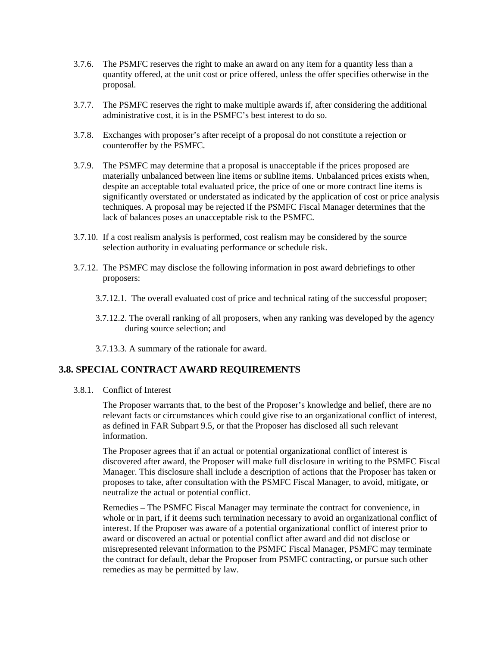- <span id="page-12-0"></span>3.7.6. The PSMFC reserves the right to make an award on any item for a quantity less than a quantity offered, at the unit cost or price offered, unless the offer specifies otherwise in the proposal.
- 3.7.7. The PSMFC reserves the right to make multiple awards if, after considering the additional administrative cost, it is in the PSMFC's best interest to do so.
- 3.7.8. Exchanges with proposer's after receipt of a proposal do not constitute a rejection or counteroffer by the PSMFC.
- 3.7.9. The PSMFC may determine that a proposal is unacceptable if the prices proposed are materially unbalanced between line items or subline items. Unbalanced prices exists when, despite an acceptable total evaluated price, the price of one or more contract line items is significantly overstated or understated as indicated by the application of cost or price analysis techniques. A proposal may be rejected if the PSMFC Fiscal Manager determines that the lack of balances poses an unacceptable risk to the PSMFC.
- 3.7.10. If a cost realism analysis is performed, cost realism may be considered by the source selection authority in evaluating performance or schedule risk.
- 3.7.12. The PSMFC may disclose the following information in post award debriefings to other proposers:
	- 3.7.12.1. The overall evaluated cost of price and technical rating of the successful proposer;
	- 3.7.12.2. The overall ranking of all proposers, when any ranking was developed by the agency during source selection; and
	- 3.7.13.3. A summary of the rationale for award.

#### **3.8. SPECIAL CONTRACT AWARD REQUIREMENTS**

3.8.1. Conflict of Interest

 The Proposer warrants that, to the best of the Proposer's knowledge and belief, there are no relevant facts or circumstances which could give rise to an organizational conflict of interest, as defined in FAR Subpart 9.5, or that the Proposer has disclosed all such relevant information.

 The Proposer agrees that if an actual or potential organizational conflict of interest is discovered after award, the Proposer will make full disclosure in writing to the PSMFC Fiscal Manager. This disclosure shall include a description of actions that the Proposer has taken or proposes to take, after consultation with the PSMFC Fiscal Manager, to avoid, mitigate, or neutralize the actual or potential conflict.

 Remedies – The PSMFC Fiscal Manager may terminate the contract for convenience, in whole or in part, if it deems such termination necessary to avoid an organizational conflict of interest. If the Proposer was aware of a potential organizational conflict of interest prior to award or discovered an actual or potential conflict after award and did not disclose or misrepresented relevant information to the PSMFC Fiscal Manager, PSMFC may terminate the contract for default, debar the Proposer from PSMFC contracting, or pursue such other remedies as may be permitted by law.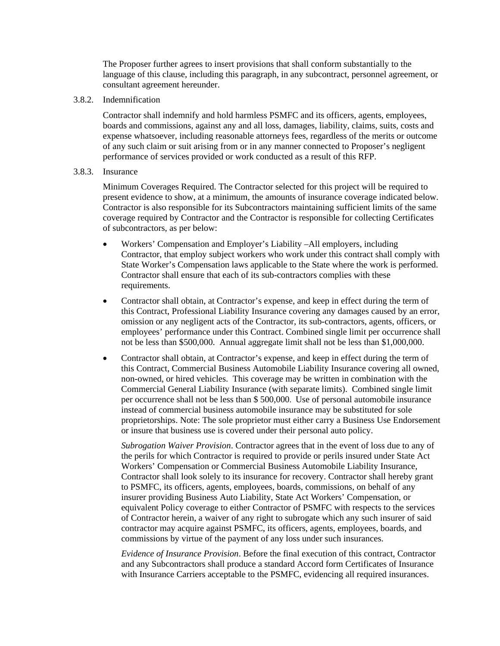The Proposer further agrees to insert provisions that shall conform substantially to the language of this clause, including this paragraph, in any subcontract, personnel agreement, or consultant agreement hereunder.

3.8.2. Indemnification

 Contractor shall indemnify and hold harmless PSMFC and its officers, agents, employees, boards and commissions, against any and all loss, damages, liability, claims, suits, costs and expense whatsoever, including reasonable attorneys fees, regardless of the merits or outcome of any such claim or suit arising from or in any manner connected to Proposer's negligent performance of services provided or work conducted as a result of this RFP.

#### 3.8.3. Insurance

 Minimum Coverages Required. The Contractor selected for this project will be required to present evidence to show, at a minimum, the amounts of insurance coverage indicated below. Contractor is also responsible for its Subcontractors maintaining sufficient limits of the same coverage required by Contractor and the Contractor is responsible for collecting Certificates of subcontractors, as per below:

- Workers' Compensation and Employer's Liability –All employers, including Contractor, that employ subject workers who work under this contract shall comply with State Worker's Compensation laws applicable to the State where the work is performed. Contractor shall ensure that each of its sub-contractors complies with these requirements.
- Contractor shall obtain, at Contractor's expense, and keep in effect during the term of this Contract, Professional Liability Insurance covering any damages caused by an error, omission or any negligent acts of the Contractor, its sub-contractors, agents, officers, or employees' performance under this Contract. Combined single limit per occurrence shall not be less than \$500,000. Annual aggregate limit shall not be less than \$1,000,000.
- Contractor shall obtain, at Contractor's expense, and keep in effect during the term of this Contract, Commercial Business Automobile Liability Insurance covering all owned, non-owned, or hired vehicles. This coverage may be written in combination with the Commercial General Liability Insurance (with separate limits). Combined single limit per occurrence shall not be less than \$ 500,000. Use of personal automobile insurance instead of commercial business automobile insurance may be substituted for sole proprietorships. Note: The sole proprietor must either carry a Business Use Endorsement or insure that business use is covered under their personal auto policy.

*Subrogation Waiver Provision*. Contractor agrees that in the event of loss due to any of the perils for which Contractor is required to provide or perils insured under State Act Workers' Compensation or Commercial Business Automobile Liability Insurance, Contractor shall look solely to its insurance for recovery. Contractor shall hereby grant to PSMFC, its officers, agents, employees, boards, commissions, on behalf of any insurer providing Business Auto Liability, State Act Workers' Compensation, or equivalent Policy coverage to either Contractor of PSMFC with respects to the services of Contractor herein, a waiver of any right to subrogate which any such insurer of said contractor may acquire against PSMFC, its officers, agents, employees, boards, and commissions by virtue of the payment of any loss under such insurances.

*Evidence of Insurance Provision*. Before the final execution of this contract, Contractor and any Subcontractors shall produce a standard Accord form Certificates of Insurance with Insurance Carriers acceptable to the PSMFC, evidencing all required insurances.